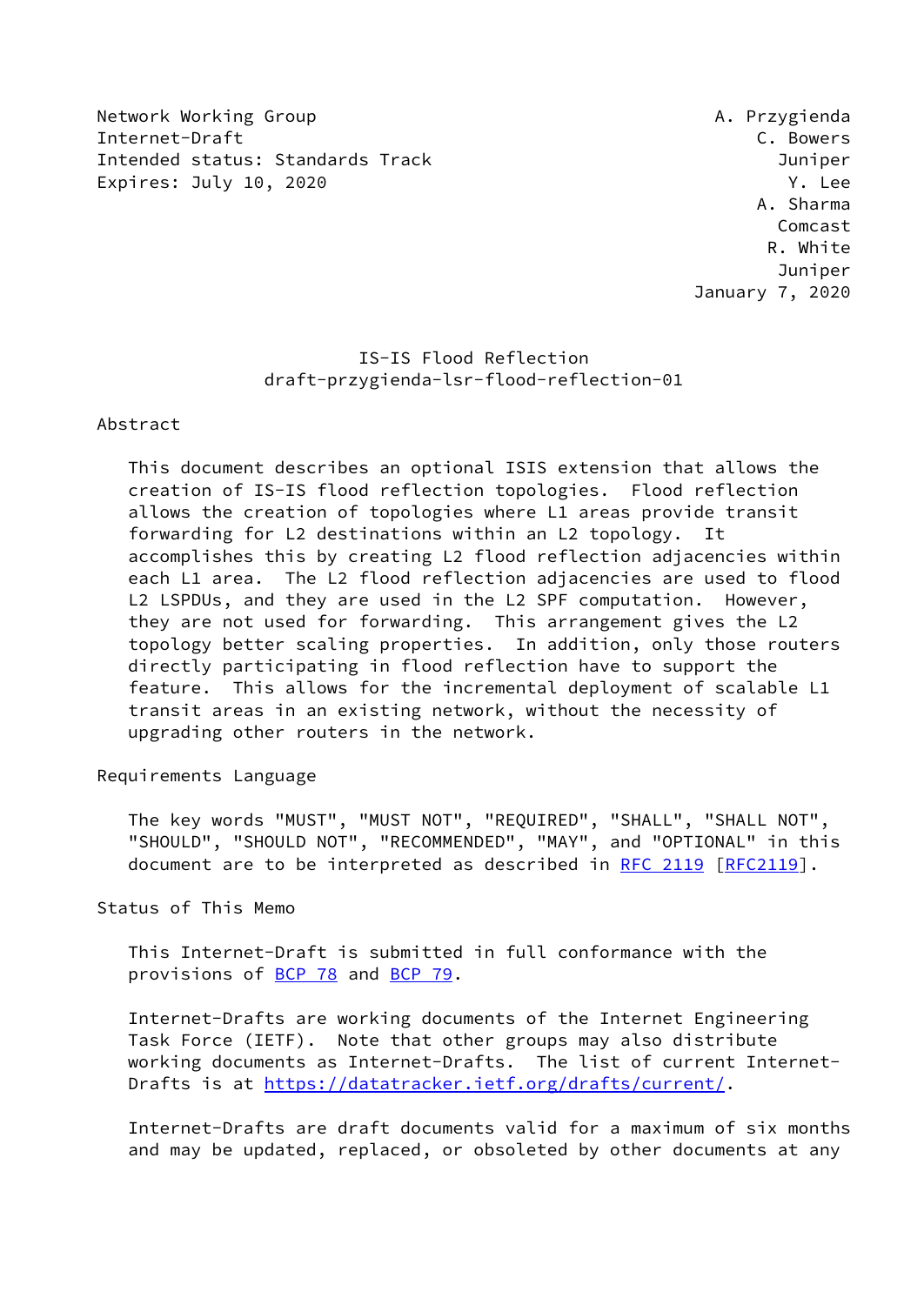Network Working Group **A. Przygienda** Internet-Draft C. Bowers Intended status: Standards Track Juniper Expires: July 10, 2020 **Y. Lee** 

 A. Sharma Comcast R. White Juniper January 7, 2020

# IS-IS Flood Reflection draft-przygienda-lsr-flood-reflection-01

#### Abstract

 This document describes an optional ISIS extension that allows the creation of IS-IS flood reflection topologies. Flood reflection allows the creation of topologies where L1 areas provide transit forwarding for L2 destinations within an L2 topology. It accomplishes this by creating L2 flood reflection adjacencies within each L1 area. The L2 flood reflection adjacencies are used to flood L2 LSPDUs, and they are used in the L2 SPF computation. However, they are not used for forwarding. This arrangement gives the L2 topology better scaling properties. In addition, only those routers directly participating in flood reflection have to support the feature. This allows for the incremental deployment of scalable L1 transit areas in an existing network, without the necessity of upgrading other routers in the network.

#### Requirements Language

 The key words "MUST", "MUST NOT", "REQUIRED", "SHALL", "SHALL NOT", "SHOULD", "SHOULD NOT", "RECOMMENDED", "MAY", and "OPTIONAL" in this document are to be interpreted as described in [RFC 2119 \[RFC2119](https://datatracker.ietf.org/doc/pdf/rfc2119)].

Status of This Memo

 This Internet-Draft is submitted in full conformance with the provisions of [BCP 78](https://datatracker.ietf.org/doc/pdf/bcp78) and [BCP 79](https://datatracker.ietf.org/doc/pdf/bcp79).

 Internet-Drafts are working documents of the Internet Engineering Task Force (IETF). Note that other groups may also distribute working documents as Internet-Drafts. The list of current Internet- Drafts is at<https://datatracker.ietf.org/drafts/current/>.

 Internet-Drafts are draft documents valid for a maximum of six months and may be updated, replaced, or obsoleted by other documents at any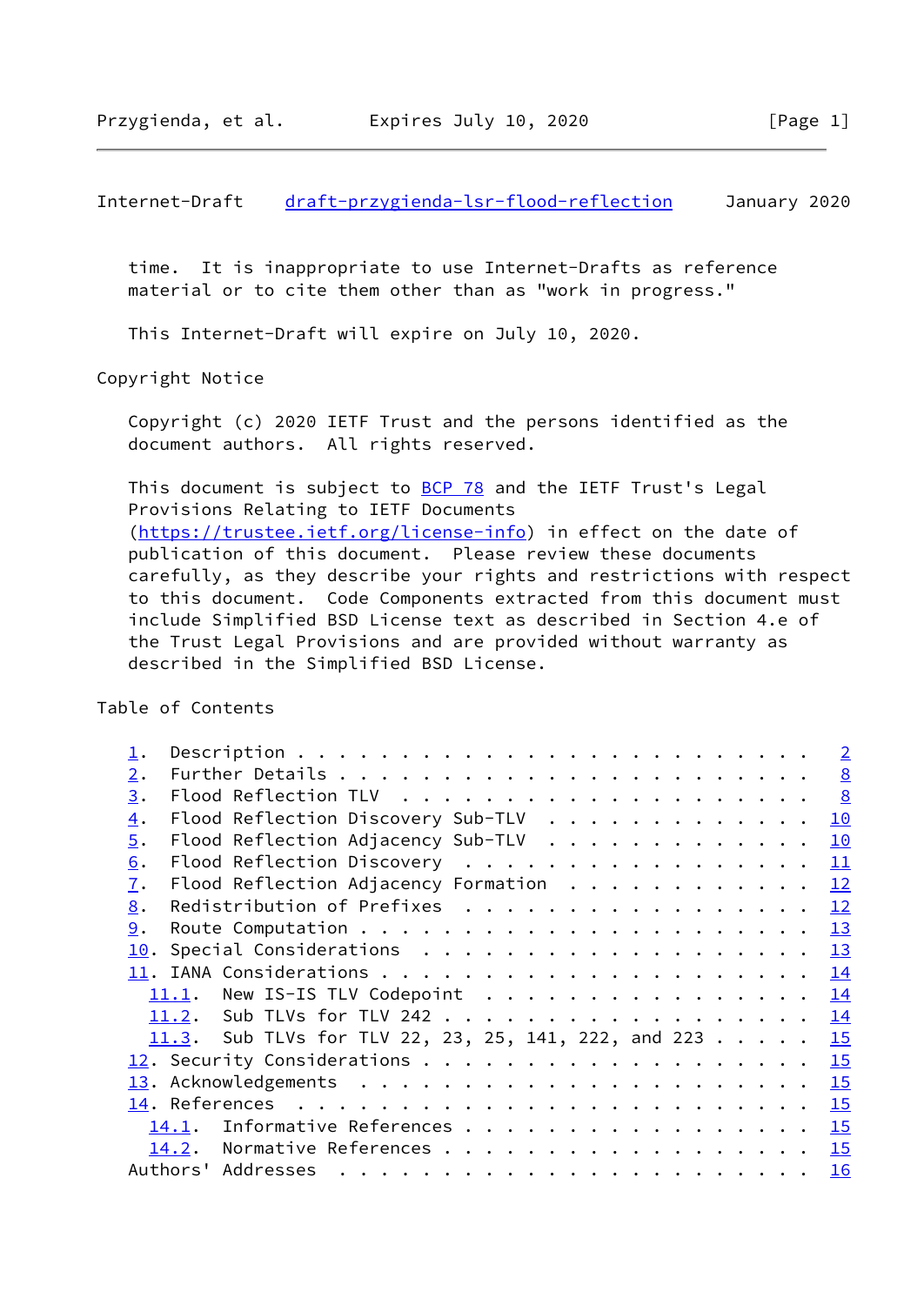<span id="page-1-0"></span> time. It is inappropriate to use Internet-Drafts as reference material or to cite them other than as "work in progress."

This Internet-Draft will expire on July 10, 2020.

Copyright Notice

 Copyright (c) 2020 IETF Trust and the persons identified as the document authors. All rights reserved.

This document is subject to **[BCP 78](https://datatracker.ietf.org/doc/pdf/bcp78)** and the IETF Trust's Legal Provisions Relating to IETF Documents [\(https://trustee.ietf.org/license-info](https://trustee.ietf.org/license-info)) in effect on the date of publication of this document. Please review these documents carefully, as they describe your rights and restrictions with respect to this document. Code Components extracted from this document must include Simplified BSD License text as described in Section 4.e of the Trust Legal Provisions and are provided without warranty as described in the Simplified BSD License.

Table of Contents

|                  |                                                                                                                                                                                                                                                                                                                                                                                                                                                                                  | $\overline{2}$  |
|------------------|----------------------------------------------------------------------------------------------------------------------------------------------------------------------------------------------------------------------------------------------------------------------------------------------------------------------------------------------------------------------------------------------------------------------------------------------------------------------------------|-----------------|
| $\overline{2}$ . |                                                                                                                                                                                                                                                                                                                                                                                                                                                                                  | $\underline{8}$ |
| 3.               |                                                                                                                                                                                                                                                                                                                                                                                                                                                                                  |                 |
| $\overline{4}$ . | Flood Reflection Discovery Sub-TLV                                                                                                                                                                                                                                                                                                                                                                                                                                               | 10              |
| $\overline{5}$ . | Flood Reflection Adjacency Sub-TLV                                                                                                                                                                                                                                                                                                                                                                                                                                               | 10              |
| 6.               | Flood Reflection Discovery                                                                                                                                                                                                                                                                                                                                                                                                                                                       | 11              |
| 7.               | Flood Reflection Adjacency Formation                                                                                                                                                                                                                                                                                                                                                                                                                                             | 12              |
| 8.               | Redistribution of Prefixes                                                                                                                                                                                                                                                                                                                                                                                                                                                       | 12              |
| 9.               |                                                                                                                                                                                                                                                                                                                                                                                                                                                                                  | 13              |
| 10.              |                                                                                                                                                                                                                                                                                                                                                                                                                                                                                  | 13              |
|                  |                                                                                                                                                                                                                                                                                                                                                                                                                                                                                  | 14              |
|                  |                                                                                                                                                                                                                                                                                                                                                                                                                                                                                  | 14              |
|                  |                                                                                                                                                                                                                                                                                                                                                                                                                                                                                  | 14              |
|                  | 11.3. Sub TLVs for TLV 22, 23, 25, 141, 222, and 223                                                                                                                                                                                                                                                                                                                                                                                                                             | 15              |
|                  |                                                                                                                                                                                                                                                                                                                                                                                                                                                                                  | 15              |
|                  |                                                                                                                                                                                                                                                                                                                                                                                                                                                                                  | 15              |
|                  |                                                                                                                                                                                                                                                                                                                                                                                                                                                                                  | 15              |
|                  | Informative References<br>14.1.                                                                                                                                                                                                                                                                                                                                                                                                                                                  | 15              |
|                  | Normative References<br>14.2.                                                                                                                                                                                                                                                                                                                                                                                                                                                    | 15              |
|                  | Authors' Addresses<br>$\mathbf{a}^{\top} \cdot \mathbf{a}^{\top} \cdot \mathbf{a}^{\top} \cdot \mathbf{a}^{\top} \cdot \mathbf{a}^{\top} \cdot \mathbf{a}^{\top} \cdot \mathbf{a}^{\top} \cdot \mathbf{a}^{\top} \cdot \mathbf{a}^{\top} \cdot \mathbf{a}^{\top} \cdot \mathbf{a}^{\top} \cdot \mathbf{a}^{\top} \cdot \mathbf{a}^{\top} \cdot \mathbf{a}^{\top} \cdot \mathbf{a}^{\top} \cdot \mathbf{a}^{\top} \cdot \mathbf{a}^{\top} \cdot \mathbf{a}^{\top} \cdot \mathbf{$ | 16              |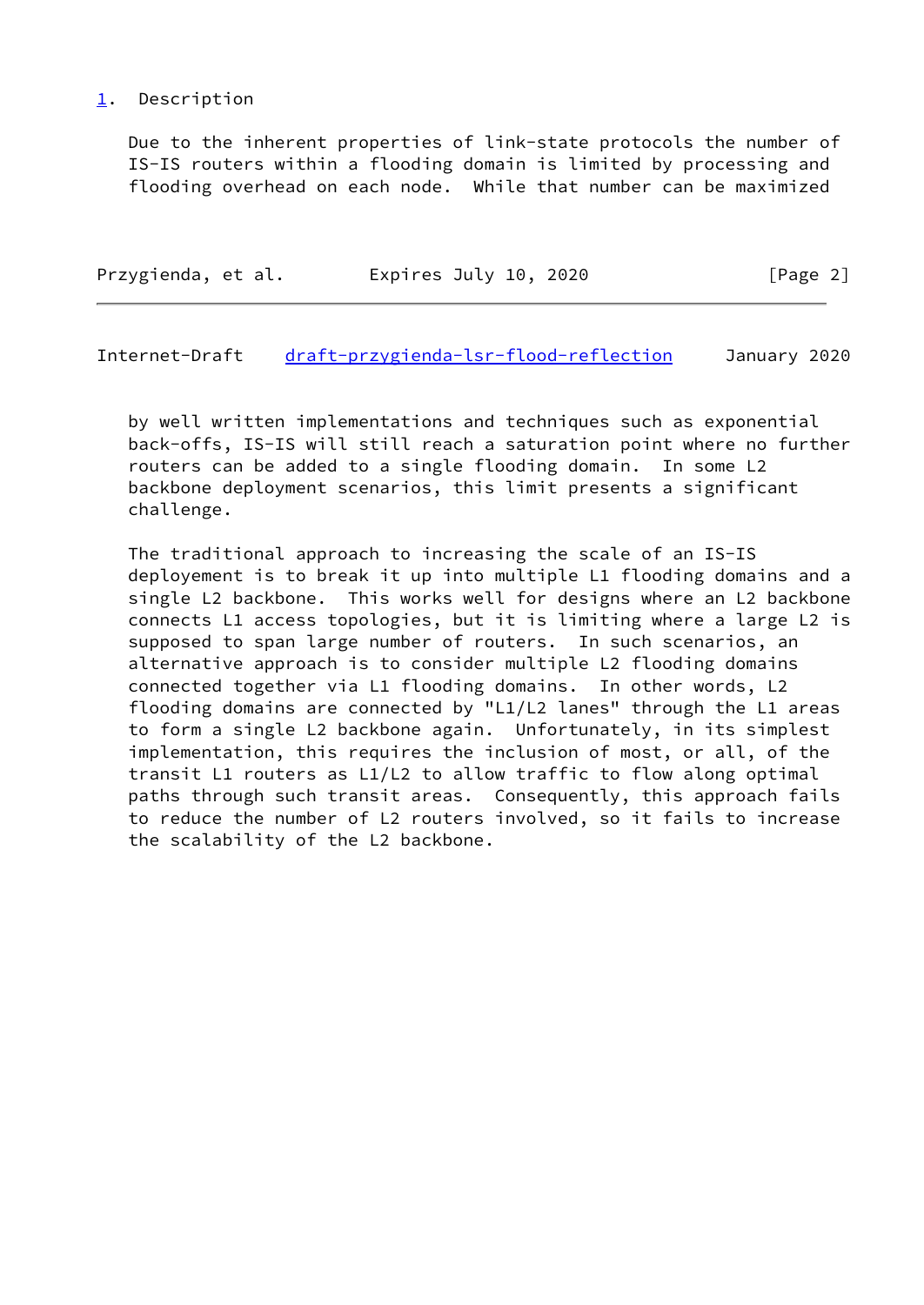### <span id="page-2-0"></span>[1](#page-2-0). Description

 Due to the inherent properties of link-state protocols the number of IS-IS routers within a flooding domain is limited by processing and flooding overhead on each node. While that number can be maximized

| Przygienda, et al. | Expires July 10, 2020 | [Page 2] |
|--------------------|-----------------------|----------|
|                    |                       |          |

Internet-Draft [draft-przygienda-lsr-flood-reflection](https://datatracker.ietf.org/doc/pdf/draft-przygienda-lsr-flood-reflection) January 2020

 by well written implementations and techniques such as exponential back-offs, IS-IS will still reach a saturation point where no further routers can be added to a single flooding domain. In some L2 backbone deployment scenarios, this limit presents a significant challenge.

 The traditional approach to increasing the scale of an IS-IS deployement is to break it up into multiple L1 flooding domains and a single L2 backbone. This works well for designs where an L2 backbone connects L1 access topologies, but it is limiting where a large L2 is supposed to span large number of routers. In such scenarios, an alternative approach is to consider multiple L2 flooding domains connected together via L1 flooding domains. In other words, L2 flooding domains are connected by "L1/L2 lanes" through the L1 areas to form a single L2 backbone again. Unfortunately, in its simplest implementation, this requires the inclusion of most, or all, of the transit L1 routers as L1/L2 to allow traffic to flow along optimal paths through such transit areas. Consequently, this approach fails to reduce the number of L2 routers involved, so it fails to increase the scalability of the L2 backbone.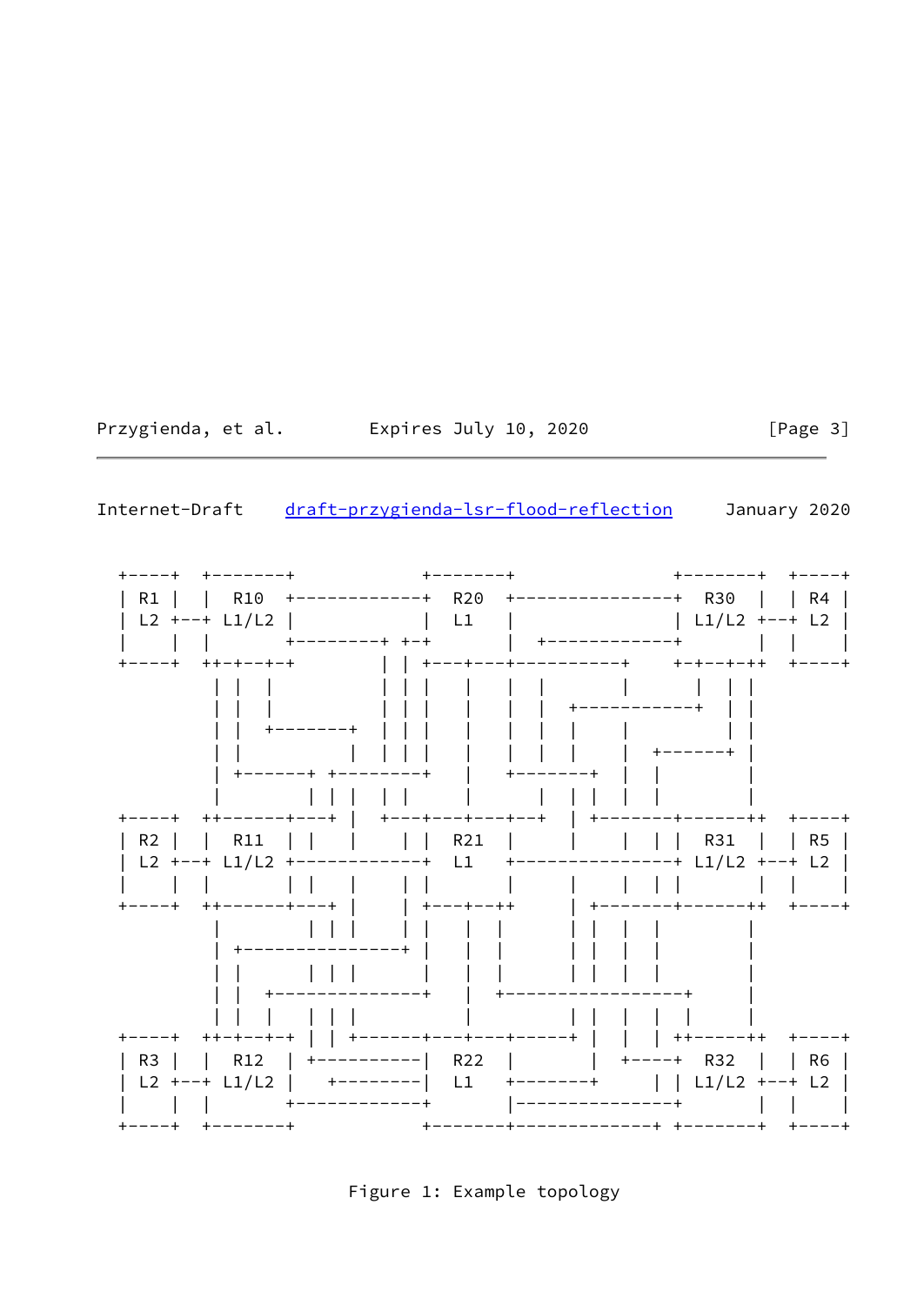Przygienda, et al. Expires July 10, 2020

 $[Page 3]$ 

Internet-Draft draft-przygienda-lsr-flood-reflection January 2020



Figure 1: Example topology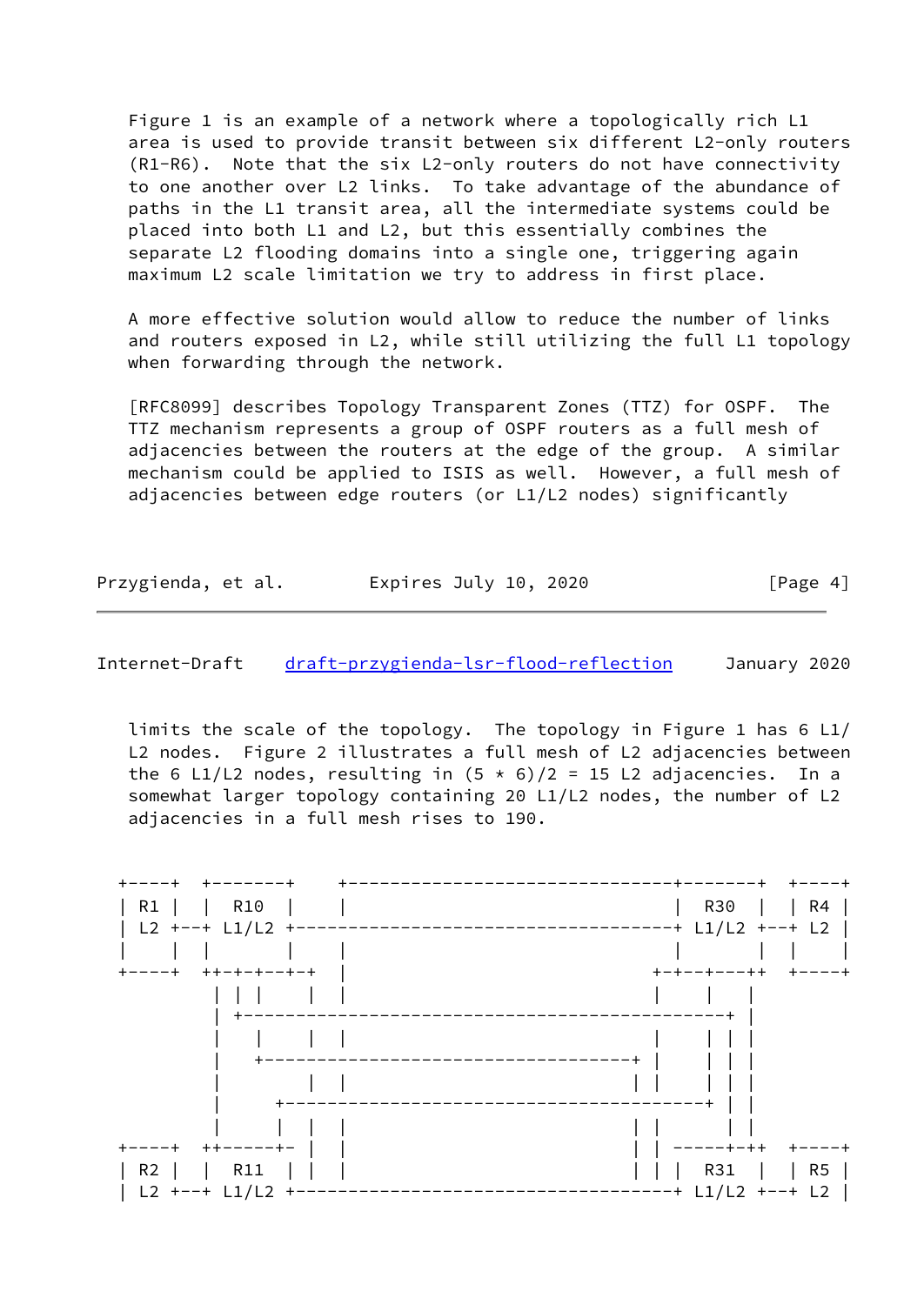Figure 1 is an example of a network where a topologically rich L1 area is used to provide transit between six different L2-only routers (R1-R6). Note that the six L2-only routers do not have connectivity to one another over L2 links. To take advantage of the abundance of paths in the L1 transit area, all the intermediate systems could be placed into both L1 and L2, but this essentially combines the separate L2 flooding domains into a single one, triggering again maximum L2 scale limitation we try to address in first place.

 A more effective solution would allow to reduce the number of links and routers exposed in L2, while still utilizing the full L1 topology when forwarding through the network.

 [RFC8099] describes Topology Transparent Zones (TTZ) for OSPF. The TTZ mechanism represents a group of OSPF routers as a full mesh of adjacencies between the routers at the edge of the group. A similar mechanism could be applied to ISIS as well. However, a full mesh of adjacencies between edge routers (or L1/L2 nodes) significantly

Przygienda, et al. **Expires July 10, 2020** [Page 4]

Internet-Draft [draft-przygienda-lsr-flood-reflection](https://datatracker.ietf.org/doc/pdf/draft-przygienda-lsr-flood-reflection) January 2020

 limits the scale of the topology. The topology in Figure 1 has 6 L1/ L2 nodes. Figure 2 illustrates a full mesh of L2 adjacencies between the 6 L1/L2 nodes, resulting in  $(5 * 6)/2 = 15$  L2 adjacencies. In a somewhat larger topology containing 20 L1/L2 nodes, the number of L2 adjacencies in a full mesh rises to 190.

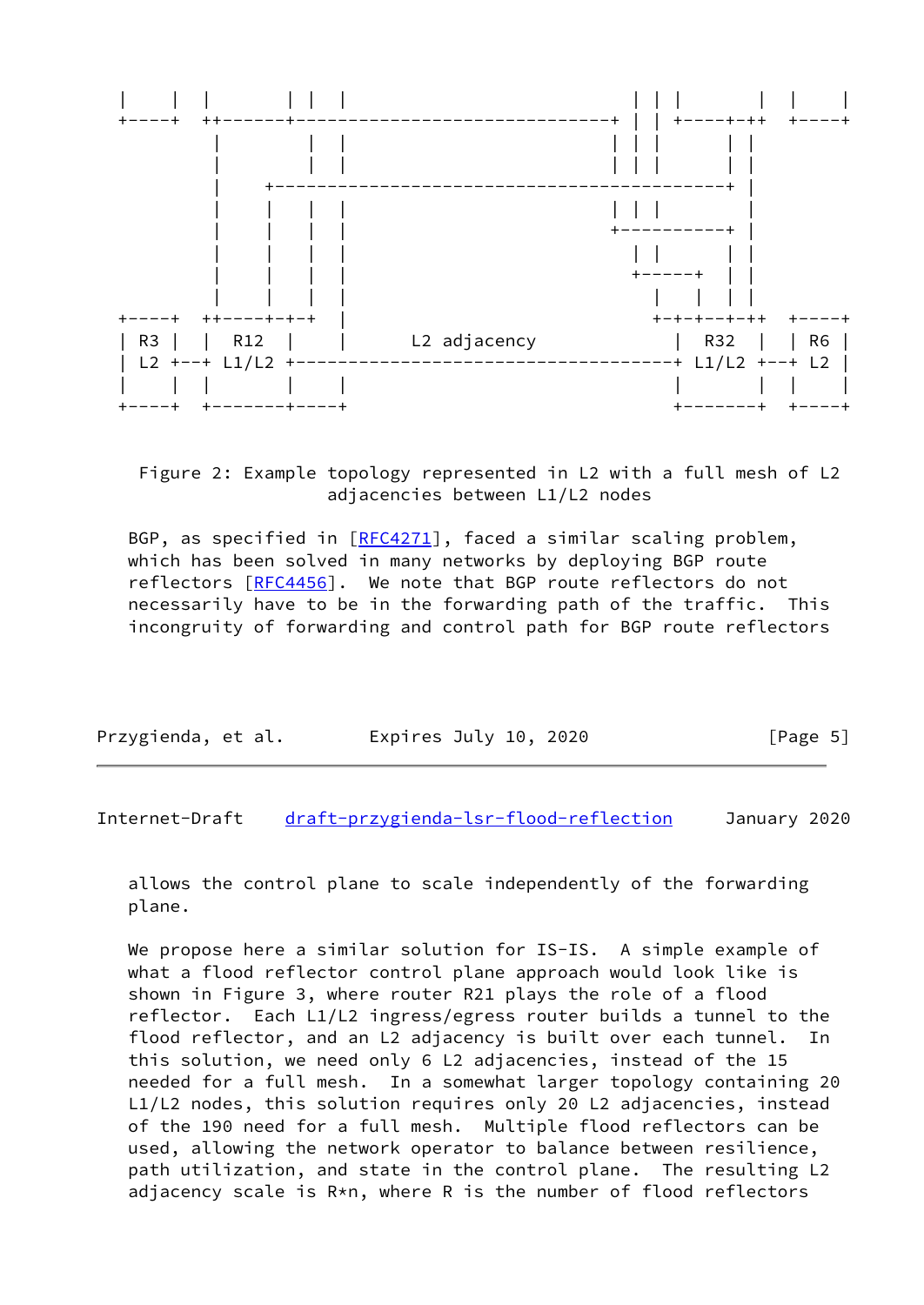

# Figure 2: Example topology represented in L2 with a full mesh of L2 adjacencies between L1/L2 nodes

BGP, as specified in [\[RFC4271](https://datatracker.ietf.org/doc/pdf/rfc4271)], faced a similar scaling problem, which has been solved in many networks by deploying BGP route reflectors [[RFC4456\]](https://datatracker.ietf.org/doc/pdf/rfc4456). We note that BGP route reflectors do not necessarily have to be in the forwarding path of the traffic. This incongruity of forwarding and control path for BGP route reflectors

| Przygienda, et al. | Expires July 10, 2020 | [Page 5] |
|--------------------|-----------------------|----------|
|--------------------|-----------------------|----------|

Internet-Draft [draft-przygienda-lsr-flood-reflection](https://datatracker.ietf.org/doc/pdf/draft-przygienda-lsr-flood-reflection) January 2020

 allows the control plane to scale independently of the forwarding plane.

 We propose here a similar solution for IS-IS. A simple example of what a flood reflector control plane approach would look like is shown in Figure 3, where router R21 plays the role of a flood reflector. Each L1/L2 ingress/egress router builds a tunnel to the flood reflector, and an L2 adjacency is built over each tunnel. In this solution, we need only 6 L2 adjacencies, instead of the 15 needed for a full mesh. In a somewhat larger topology containing 20 L1/L2 nodes, this solution requires only 20 L2 adjacencies, instead of the 190 need for a full mesh. Multiple flood reflectors can be used, allowing the network operator to balance between resilience, path utilization, and state in the control plane. The resulting L2 adjacency scale is R\*n, where R is the number of flood reflectors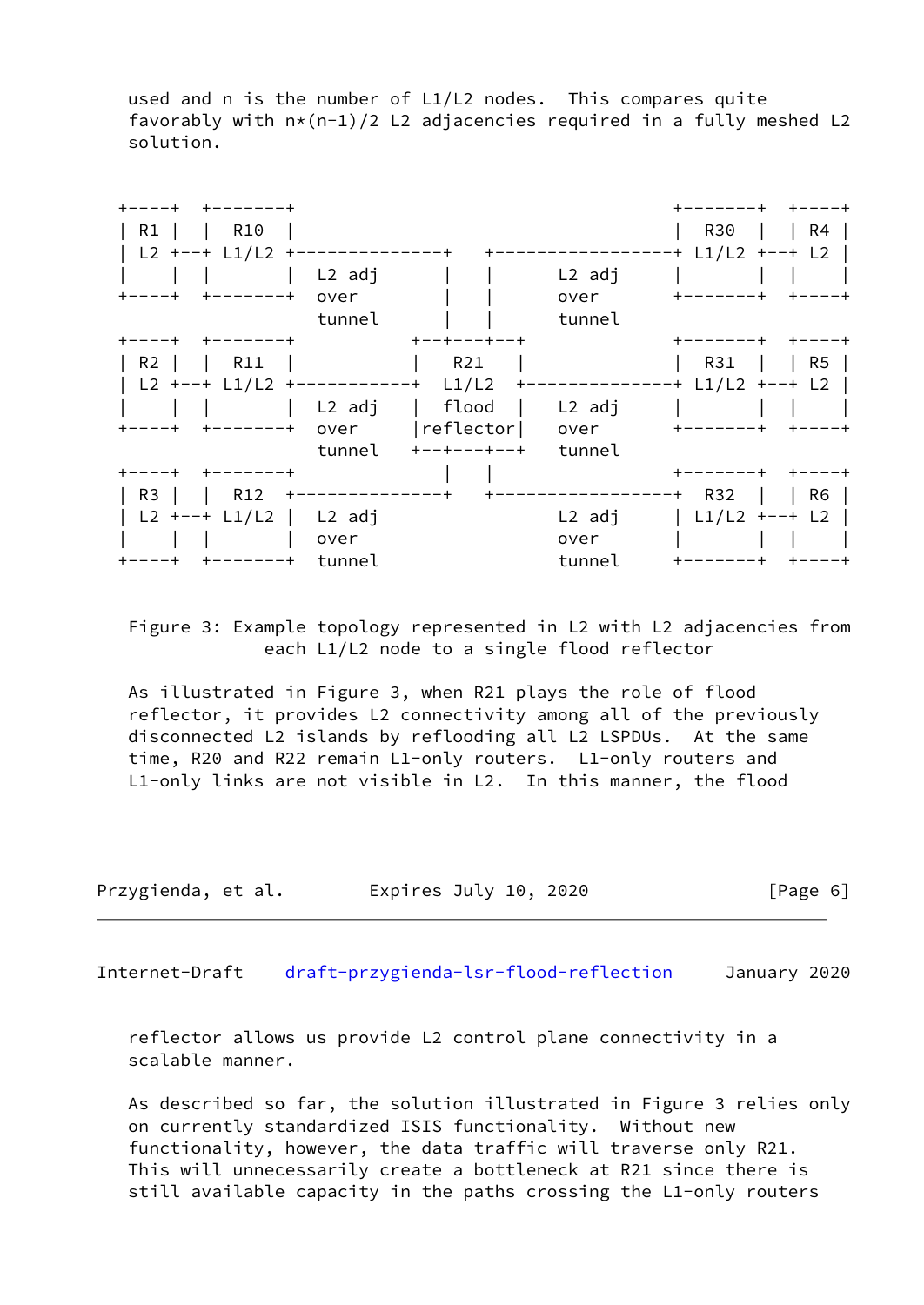used and n is the number of L1/L2 nodes. This compares quite favorably with  $n*(n-1)/2$  L2 adjacencies required in a fully meshed L2 solution.



 Figure 3: Example topology represented in L2 with L2 adjacencies from each L1/L2 node to a single flood reflector

 As illustrated in Figure 3, when R21 plays the role of flood reflector, it provides L2 connectivity among all of the previously disconnected L2 islands by reflooding all L2 LSPDUs. At the same time, R20 and R22 remain L1-only routers. L1-only routers and L1-only links are not visible in L2. In this manner, the flood

Przygienda, et al. Expires July 10, 2020 [Page 6]

Internet-Draft [draft-przygienda-lsr-flood-reflection](https://datatracker.ietf.org/doc/pdf/draft-przygienda-lsr-flood-reflection) January 2020

 reflector allows us provide L2 control plane connectivity in a scalable manner.

 As described so far, the solution illustrated in Figure 3 relies only on currently standardized ISIS functionality. Without new functionality, however, the data traffic will traverse only R21. This will unnecessarily create a bottleneck at R21 since there is still available capacity in the paths crossing the L1-only routers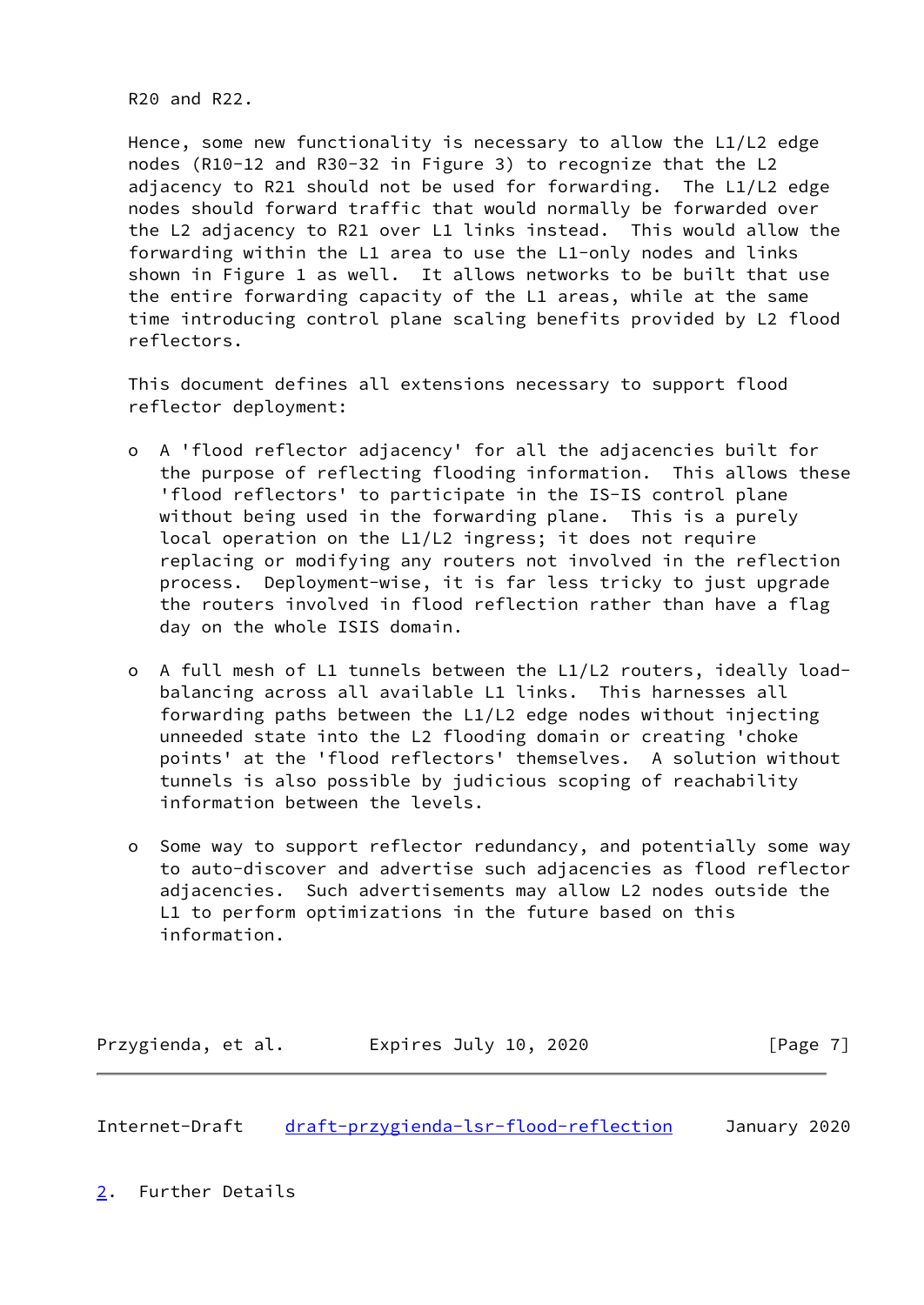R20 and R22.

 Hence, some new functionality is necessary to allow the L1/L2 edge nodes (R10-12 and R30-32 in Figure 3) to recognize that the L2 adjacency to R21 should not be used for forwarding. The L1/L2 edge nodes should forward traffic that would normally be forwarded over the L2 adjacency to R21 over L1 links instead. This would allow the forwarding within the L1 area to use the L1-only nodes and links shown in Figure 1 as well. It allows networks to be built that use the entire forwarding capacity of the L1 areas, while at the same time introducing control plane scaling benefits provided by L2 flood reflectors.

 This document defines all extensions necessary to support flood reflector deployment:

- o A 'flood reflector adjacency' for all the adjacencies built for the purpose of reflecting flooding information. This allows these 'flood reflectors' to participate in the IS-IS control plane without being used in the forwarding plane. This is a purely local operation on the L1/L2 ingress; it does not require replacing or modifying any routers not involved in the reflection process. Deployment-wise, it is far less tricky to just upgrade the routers involved in flood reflection rather than have a flag day on the whole ISIS domain.
- o A full mesh of L1 tunnels between the L1/L2 routers, ideally load balancing across all available L1 links. This harnesses all forwarding paths between the L1/L2 edge nodes without injecting unneeded state into the L2 flooding domain or creating 'choke points' at the 'flood reflectors' themselves. A solution without tunnels is also possible by judicious scoping of reachability information between the levels.
- o Some way to support reflector redundancy, and potentially some way to auto-discover and advertise such adjacencies as flood reflector adjacencies. Such advertisements may allow L2 nodes outside the L1 to perform optimizations in the future based on this information.

Przygienda, et al. Expires July 10, 2020 [Page 7]

<span id="page-7-1"></span>Internet-Draft [draft-przygienda-lsr-flood-reflection](https://datatracker.ietf.org/doc/pdf/draft-przygienda-lsr-flood-reflection) January 2020

<span id="page-7-0"></span>[2](#page-7-0). Further Details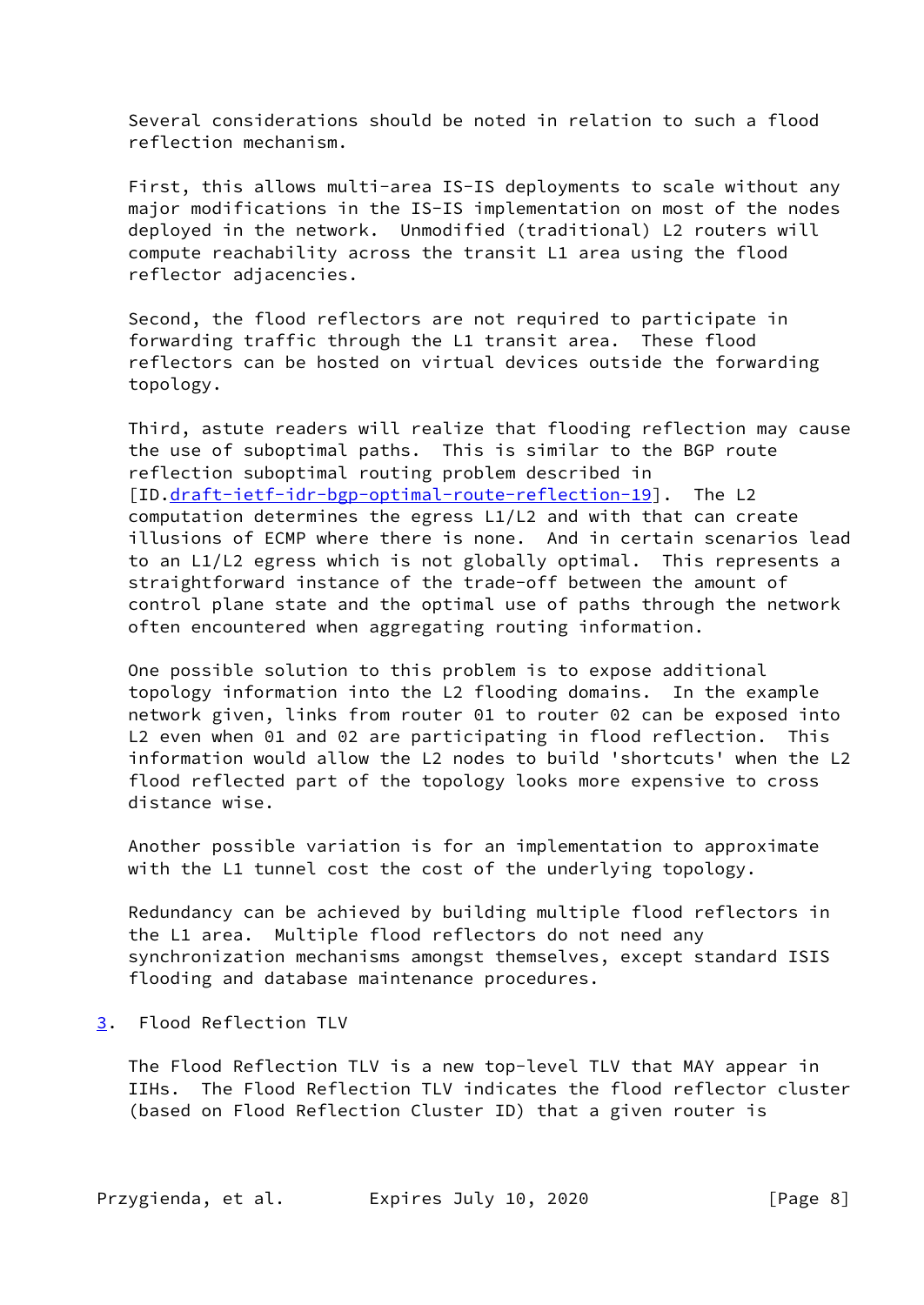Several considerations should be noted in relation to such a flood reflection mechanism.

 First, this allows multi-area IS-IS deployments to scale without any major modifications in the IS-IS implementation on most of the nodes deployed in the network. Unmodified (traditional) L2 routers will compute reachability across the transit L1 area using the flood reflector adjacencies.

 Second, the flood reflectors are not required to participate in forwarding traffic through the L1 transit area. These flood reflectors can be hosted on virtual devices outside the forwarding topology.

 Third, astute readers will realize that flooding reflection may cause the use of suboptimal paths. This is similar to the BGP route reflection suboptimal routing problem described in [ID.[draft-ietf-idr-bgp-optimal-route-reflection-19](https://datatracker.ietf.org/doc/pdf/draft-ietf-idr-bgp-optimal-route-reflection-19)]. The L2 computation determines the egress L1/L2 and with that can create illusions of ECMP where there is none. And in certain scenarios lead to an L1/L2 egress which is not globally optimal. This represents a straightforward instance of the trade-off between the amount of control plane state and the optimal use of paths through the network often encountered when aggregating routing information.

 One possible solution to this problem is to expose additional topology information into the L2 flooding domains. In the example network given, links from router 01 to router 02 can be exposed into L2 even when 01 and 02 are participating in flood reflection. This information would allow the L2 nodes to build 'shortcuts' when the L2 flood reflected part of the topology looks more expensive to cross distance wise.

 Another possible variation is for an implementation to approximate with the L1 tunnel cost the cost of the underlying topology.

 Redundancy can be achieved by building multiple flood reflectors in the L1 area. Multiple flood reflectors do not need any synchronization mechanisms amongst themselves, except standard ISIS flooding and database maintenance procedures.

<span id="page-8-0"></span>[3](#page-8-0). Flood Reflection TLV

 The Flood Reflection TLV is a new top-level TLV that MAY appear in IIHs. The Flood Reflection TLV indicates the flood reflector cluster (based on Flood Reflection Cluster ID) that a given router is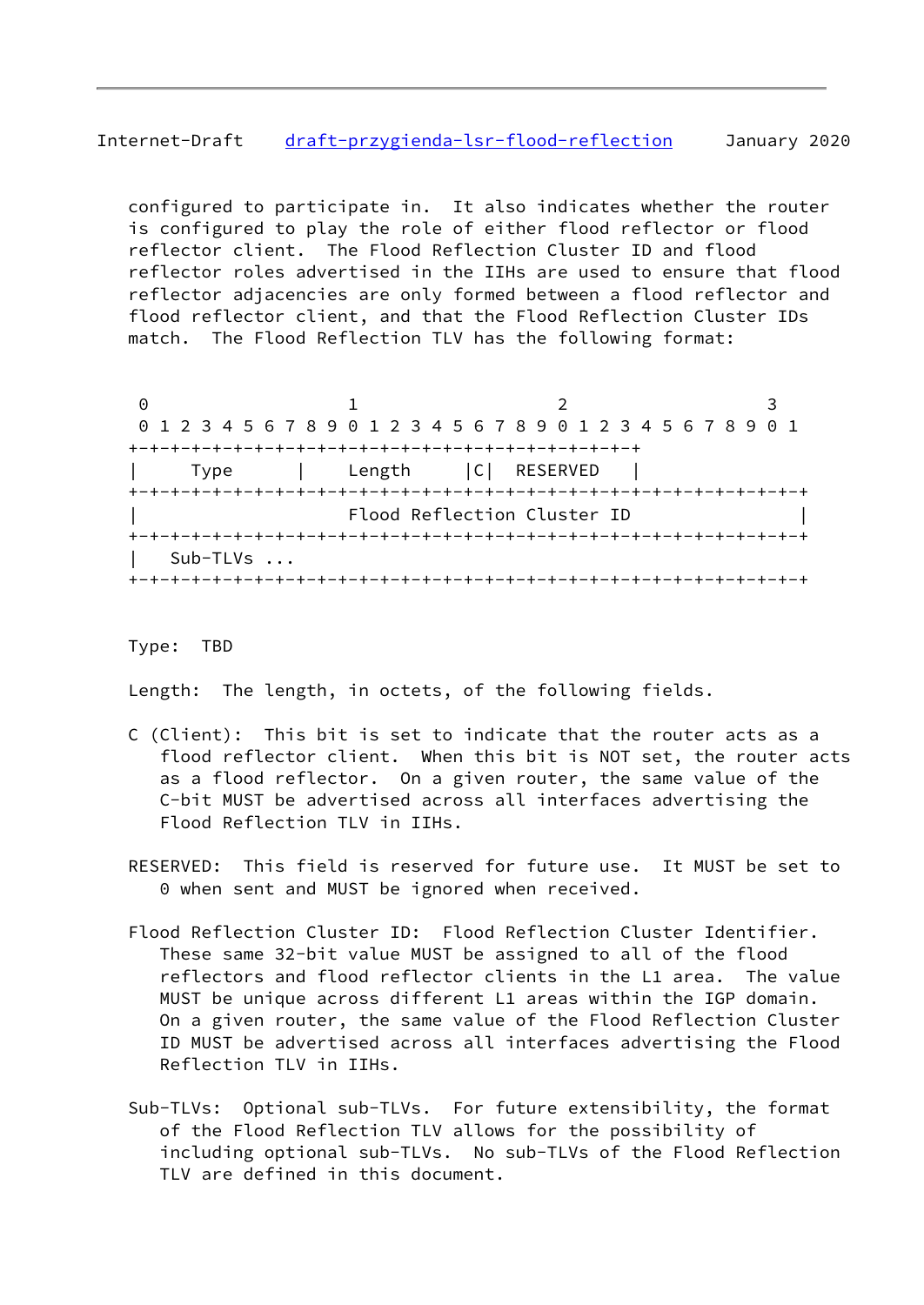# Internet-Draft [draft-przygienda-lsr-flood-reflection](https://datatracker.ietf.org/doc/pdf/draft-przygienda-lsr-flood-reflection) January 2020

 configured to participate in. It also indicates whether the router is configured to play the role of either flood reflector or flood reflector client. The Flood Reflection Cluster ID and flood reflector roles advertised in the IIHs are used to ensure that flood reflector adjacencies are only formed between a flood reflector and flood reflector client, and that the Flood Reflection Cluster IDs match. The Flood Reflection TLV has the following format:

0 1 2 3 0 1 2 3 4 5 6 7 8 9 0 1 2 3 4 5 6 7 8 9 0 1 2 3 4 5 6 7 8 9 0 1 +-+-+-+-+-+-+-+-+-+-+-+-+-+-+-+-+-+-+-+-+-+-+-+-+ | Type | Length |C| RESERVED | +-+-+-+-+-+-+-+-+-+-+-+-+-+-+-+-+-+-+-+-+-+-+-+-+-+-+-+-+-+-+-+-+ Flood Reflection Cluster ID +-+-+-+-+-+-+-+-+-+-+-+-+-+-+-+-+-+-+-+-+-+-+-+-+-+-+-+-+-+-+-+-+ | Sub-TLVs ... +-+-+-+-+-+-+-+-+-+-+-+-+-+-+-+-+-+-+-+-+-+-+-+-+-+-+-+-+-+-+-+-+

### Type: TBD

Length: The length, in octets, of the following fields.

- C (Client): This bit is set to indicate that the router acts as a flood reflector client. When this bit is NOT set, the router acts as a flood reflector. On a given router, the same value of the C-bit MUST be advertised across all interfaces advertising the Flood Reflection TLV in IIHs.
- RESERVED: This field is reserved for future use. It MUST be set to 0 when sent and MUST be ignored when received.
- Flood Reflection Cluster ID: Flood Reflection Cluster Identifier. These same 32-bit value MUST be assigned to all of the flood reflectors and flood reflector clients in the L1 area. The value MUST be unique across different L1 areas within the IGP domain. On a given router, the same value of the Flood Reflection Cluster ID MUST be advertised across all interfaces advertising the Flood Reflection TLV in IIHs.
- Sub-TLVs: Optional sub-TLVs. For future extensibility, the format of the Flood Reflection TLV allows for the possibility of including optional sub-TLVs. No sub-TLVs of the Flood Reflection TLV are defined in this document.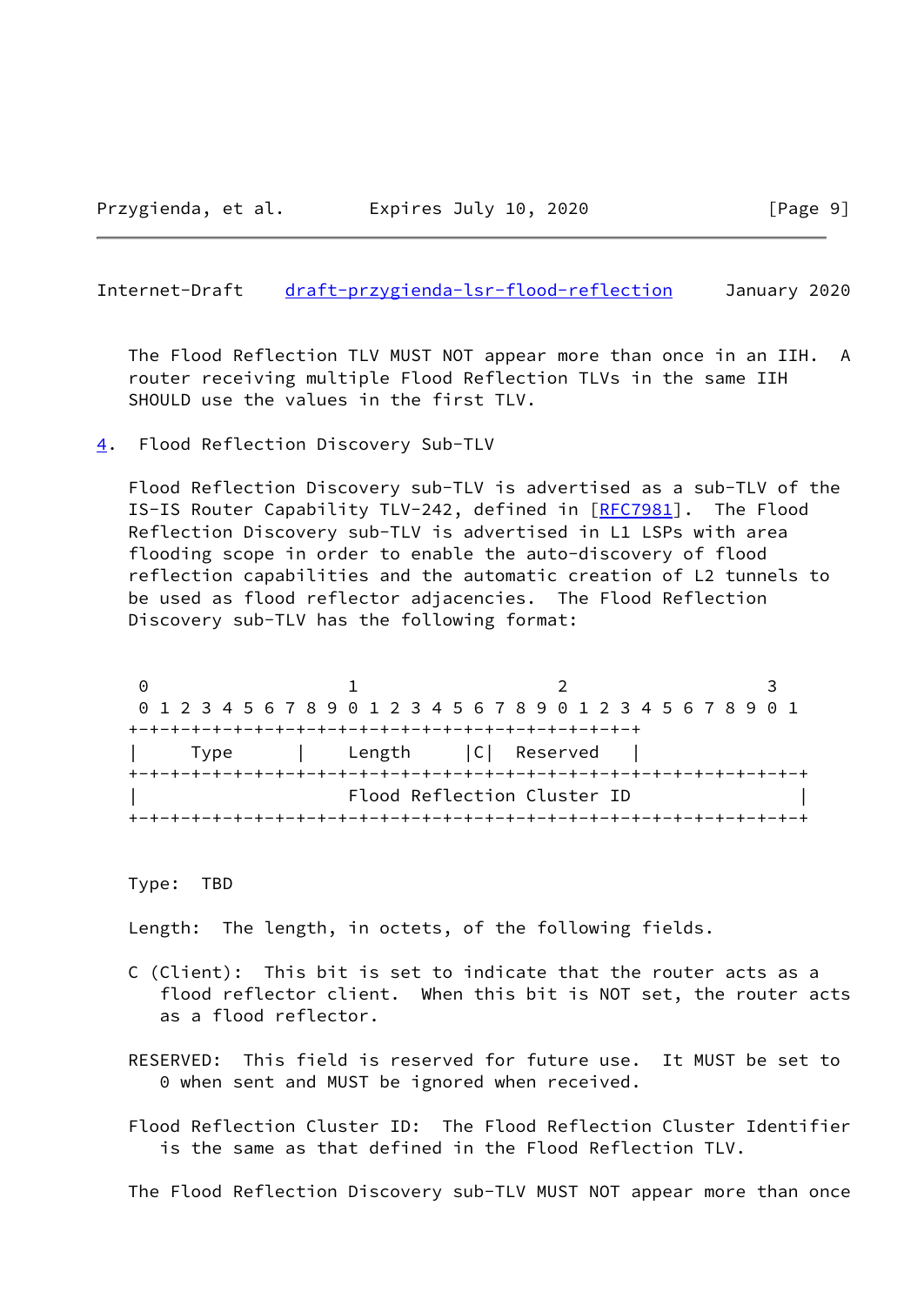#### <span id="page-10-1"></span>Internet-Draft [draft-przygienda-lsr-flood-reflection](https://datatracker.ietf.org/doc/pdf/draft-przygienda-lsr-flood-reflection) January 2020

 The Flood Reflection TLV MUST NOT appear more than once in an IIH. A router receiving multiple Flood Reflection TLVs in the same IIH SHOULD use the values in the first TLV.

<span id="page-10-0"></span>[4](#page-10-0). Flood Reflection Discovery Sub-TLV

 Flood Reflection Discovery sub-TLV is advertised as a sub-TLV of the IS-IS Router Capability TLV-242, defined in [\[RFC7981](https://datatracker.ietf.org/doc/pdf/rfc7981)]. The Flood Reflection Discovery sub-TLV is advertised in L1 LSPs with area flooding scope in order to enable the auto-discovery of flood reflection capabilities and the automatic creation of L2 tunnels to be used as flood reflector adjacencies. The Flood Reflection Discovery sub-TLV has the following format:

0 1 2 3 0 1 2 3 4 5 6 7 8 9 0 1 2 3 4 5 6 7 8 9 0 1 2 3 4 5 6 7 8 9 0 1 +-+-+-+-+-+-+-+-+-+-+-+-+-+-+-+-+-+-+-+-+-+-+-+-+ | Type | Length |C| Reserved | +-+-+-+-+-+-+-+-+-+-+-+-+-+-+-+-+-+-+-+-+-+-+-+-+-+-+-+-+-+-+-+-+ | Flood Reflection Cluster ID | +-+-+-+-+-+-+-+-+-+-+-+-+-+-+-+-+-+-+-+-+-+-+-+-+-+-+-+-+-+-+-+-+

Type: TBD

Length: The length, in octets, of the following fields.

- C (Client): This bit is set to indicate that the router acts as a flood reflector client. When this bit is NOT set, the router acts as a flood reflector.
- RESERVED: This field is reserved for future use. It MUST be set to 0 when sent and MUST be ignored when received.

 Flood Reflection Cluster ID: The Flood Reflection Cluster Identifier is the same as that defined in the Flood Reflection TLV.

The Flood Reflection Discovery sub-TLV MUST NOT appear more than once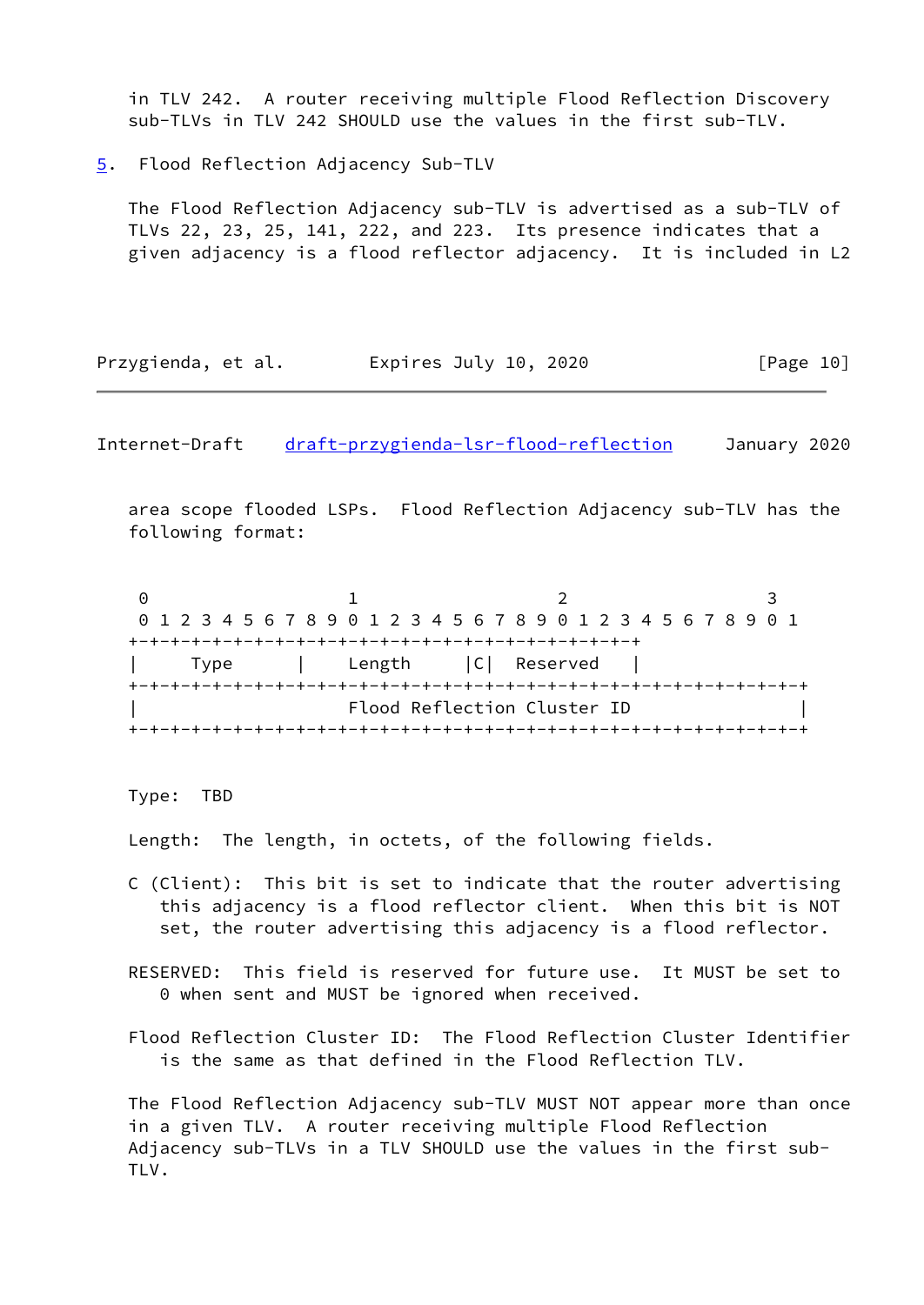in TLV 242. A router receiving multiple Flood Reflection Discovery sub-TLVs in TLV 242 SHOULD use the values in the first sub-TLV.

<span id="page-11-0"></span>[5](#page-11-0). Flood Reflection Adjacency Sub-TLV

 The Flood Reflection Adjacency sub-TLV is advertised as a sub-TLV of TLVs 22, 23, 25, 141, 222, and 223. Its presence indicates that a given adjacency is a flood reflector adjacency. It is included in L2

| Przygienda, et al. | Expires July 10, 2020 | [Page 10] |
|--------------------|-----------------------|-----------|
|--------------------|-----------------------|-----------|

<span id="page-11-1"></span>Internet-Draft [draft-przygienda-lsr-flood-reflection](https://datatracker.ietf.org/doc/pdf/draft-przygienda-lsr-flood-reflection) January 2020

 area scope flooded LSPs. Flood Reflection Adjacency sub-TLV has the following format:

0 1 2 3 0 1 2 3 4 5 6 7 8 9 0 1 2 3 4 5 6 7 8 9 0 1 2 3 4 5 6 7 8 9 0 1 +-+-+-+-+-+-+-+-+-+-+-+-+-+-+-+-+-+-+-+-+-+-+-+-+ | Type | Length |C| Reserved | +-+-+-+-+-+-+-+-+-+-+-+-+-+-+-+-+-+-+-+-+-+-+-+-+-+-+-+-+-+-+-+-+ Flood Reflection Cluster ID +-+-+-+-+-+-+-+-+-+-+-+-+-+-+-+-+-+-+-+-+-+-+-+-+-+-+-+-+-+-+-+-+

Type: TBD

Length: The length, in octets, of the following fields.

- C (Client): This bit is set to indicate that the router advertising this adjacency is a flood reflector client. When this bit is NOT set, the router advertising this adjacency is a flood reflector.
- RESERVED: This field is reserved for future use. It MUST be set to 0 when sent and MUST be ignored when received.

 Flood Reflection Cluster ID: The Flood Reflection Cluster Identifier is the same as that defined in the Flood Reflection TLV.

 The Flood Reflection Adjacency sub-TLV MUST NOT appear more than once in a given TLV. A router receiving multiple Flood Reflection Adjacency sub-TLVs in a TLV SHOULD use the values in the first sub- TLV.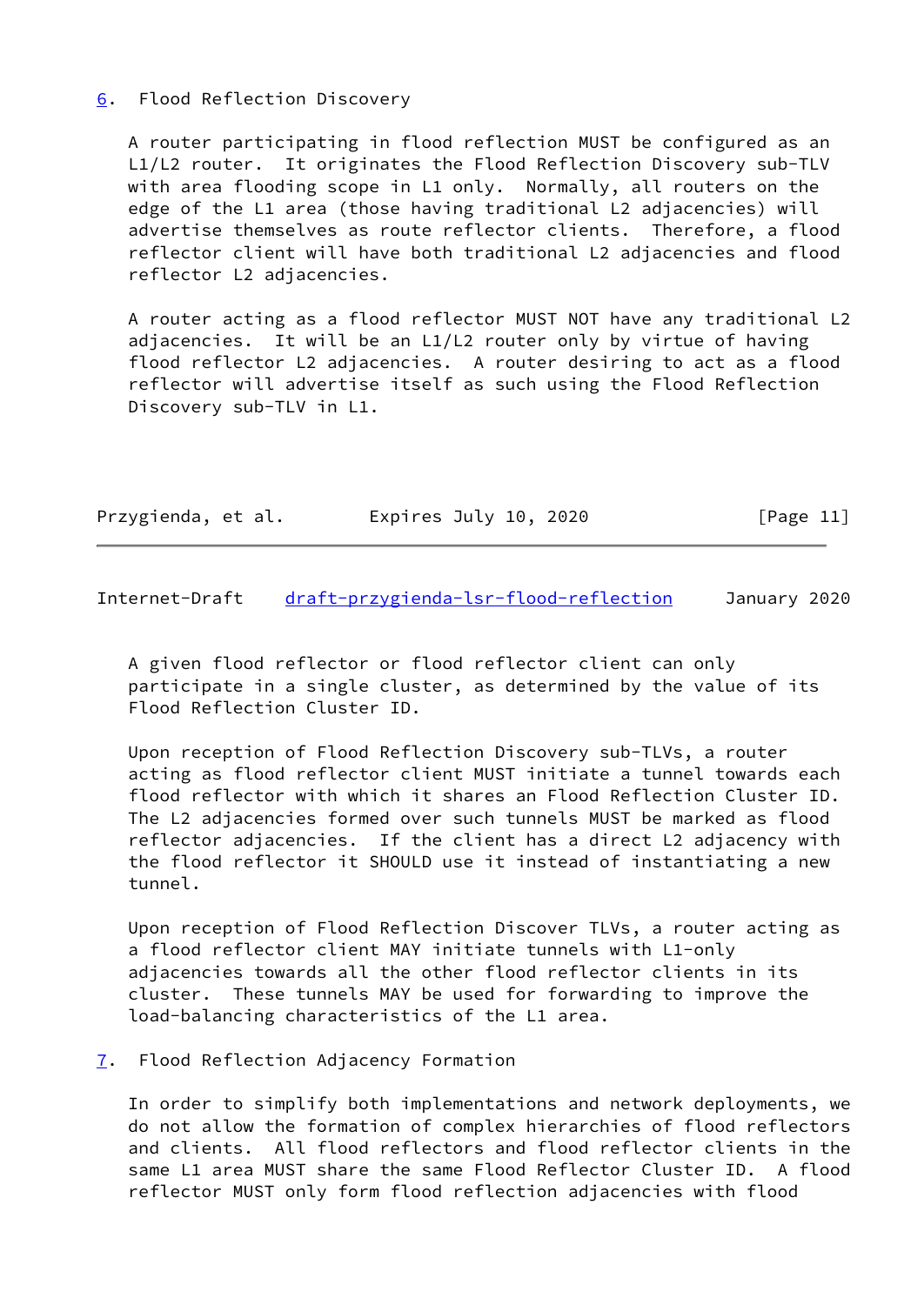## <span id="page-12-0"></span>[6](#page-12-0). Flood Reflection Discovery

 A router participating in flood reflection MUST be configured as an L1/L2 router. It originates the Flood Reflection Discovery sub-TLV with area flooding scope in L1 only. Normally, all routers on the edge of the L1 area (those having traditional L2 adjacencies) will advertise themselves as route reflector clients. Therefore, a flood reflector client will have both traditional L2 adjacencies and flood reflector L2 adjacencies.

 A router acting as a flood reflector MUST NOT have any traditional L2 adjacencies. It will be an L1/L2 router only by virtue of having flood reflector L2 adjacencies. A router desiring to act as a flood reflector will advertise itself as such using the Flood Reflection Discovery sub-TLV in L1.

|  | Przygienda, et al. | Expires July 10, 2020 | [Page 11] |
|--|--------------------|-----------------------|-----------|
|--|--------------------|-----------------------|-----------|

<span id="page-12-2"></span>Internet-Draft [draft-przygienda-lsr-flood-reflection](https://datatracker.ietf.org/doc/pdf/draft-przygienda-lsr-flood-reflection) January 2020

 A given flood reflector or flood reflector client can only participate in a single cluster, as determined by the value of its Flood Reflection Cluster ID.

 Upon reception of Flood Reflection Discovery sub-TLVs, a router acting as flood reflector client MUST initiate a tunnel towards each flood reflector with which it shares an Flood Reflection Cluster ID. The L2 adjacencies formed over such tunnels MUST be marked as flood reflector adjacencies. If the client has a direct L2 adjacency with the flood reflector it SHOULD use it instead of instantiating a new tunnel.

 Upon reception of Flood Reflection Discover TLVs, a router acting as a flood reflector client MAY initiate tunnels with L1-only adjacencies towards all the other flood reflector clients in its cluster. These tunnels MAY be used for forwarding to improve the load-balancing characteristics of the L1 area.

### <span id="page-12-1"></span>[7](#page-12-1). Flood Reflection Adjacency Formation

 In order to simplify both implementations and network deployments, we do not allow the formation of complex hierarchies of flood reflectors and clients. All flood reflectors and flood reflector clients in the same L1 area MUST share the same Flood Reflector Cluster ID. A flood reflector MUST only form flood reflection adjacencies with flood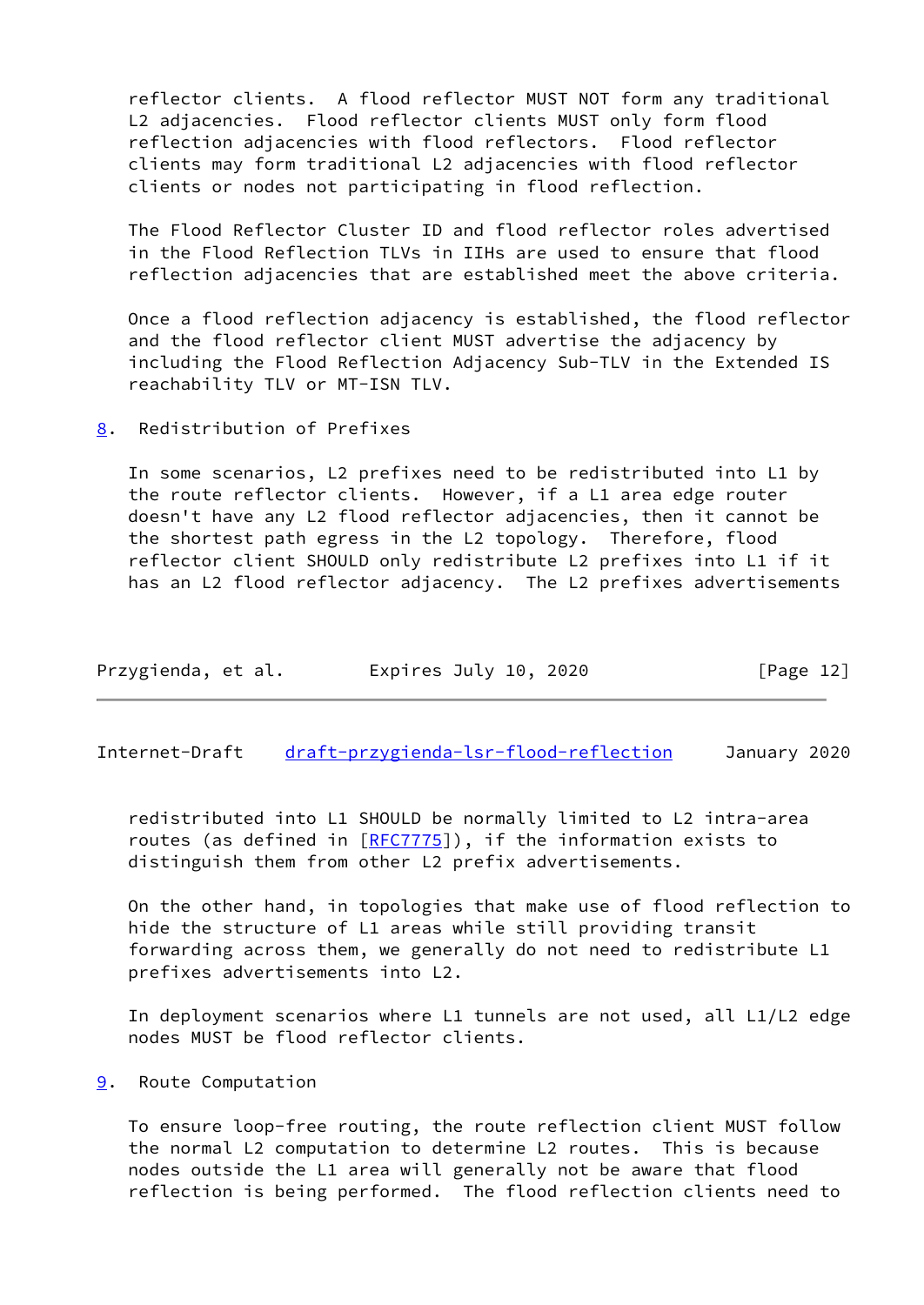reflector clients. A flood reflector MUST NOT form any traditional L2 adjacencies. Flood reflector clients MUST only form flood reflection adjacencies with flood reflectors. Flood reflector clients may form traditional L2 adjacencies with flood reflector clients or nodes not participating in flood reflection.

 The Flood Reflector Cluster ID and flood reflector roles advertised in the Flood Reflection TLVs in IIHs are used to ensure that flood reflection adjacencies that are established meet the above criteria.

 Once a flood reflection adjacency is established, the flood reflector and the flood reflector client MUST advertise the adjacency by including the Flood Reflection Adjacency Sub-TLV in the Extended IS reachability TLV or MT-ISN TLV.

<span id="page-13-0"></span>[8](#page-13-0). Redistribution of Prefixes

 In some scenarios, L2 prefixes need to be redistributed into L1 by the route reflector clients. However, if a L1 area edge router doesn't have any L2 flood reflector adjacencies, then it cannot be the shortest path egress in the L2 topology. Therefore, flood reflector client SHOULD only redistribute L2 prefixes into L1 if it has an L2 flood reflector adjacency. The L2 prefixes advertisements

| Przygienda, et al. | Expires July 10, 2020 | [Page 12] |
|--------------------|-----------------------|-----------|
|--------------------|-----------------------|-----------|

<span id="page-13-2"></span>Internet-Draft [draft-przygienda-lsr-flood-reflection](https://datatracker.ietf.org/doc/pdf/draft-przygienda-lsr-flood-reflection) January 2020

 redistributed into L1 SHOULD be normally limited to L2 intra-area routes (as defined in  $[REC7775]$ ), if the information exists to distinguish them from other L2 prefix advertisements.

 On the other hand, in topologies that make use of flood reflection to hide the structure of L1 areas while still providing transit forwarding across them, we generally do not need to redistribute L1 prefixes advertisements into L2.

 In deployment scenarios where L1 tunnels are not used, all L1/L2 edge nodes MUST be flood reflector clients.

<span id="page-13-1"></span>[9](#page-13-1). Route Computation

 To ensure loop-free routing, the route reflection client MUST follow the normal L2 computation to determine L2 routes. This is because nodes outside the L1 area will generally not be aware that flood reflection is being performed. The flood reflection clients need to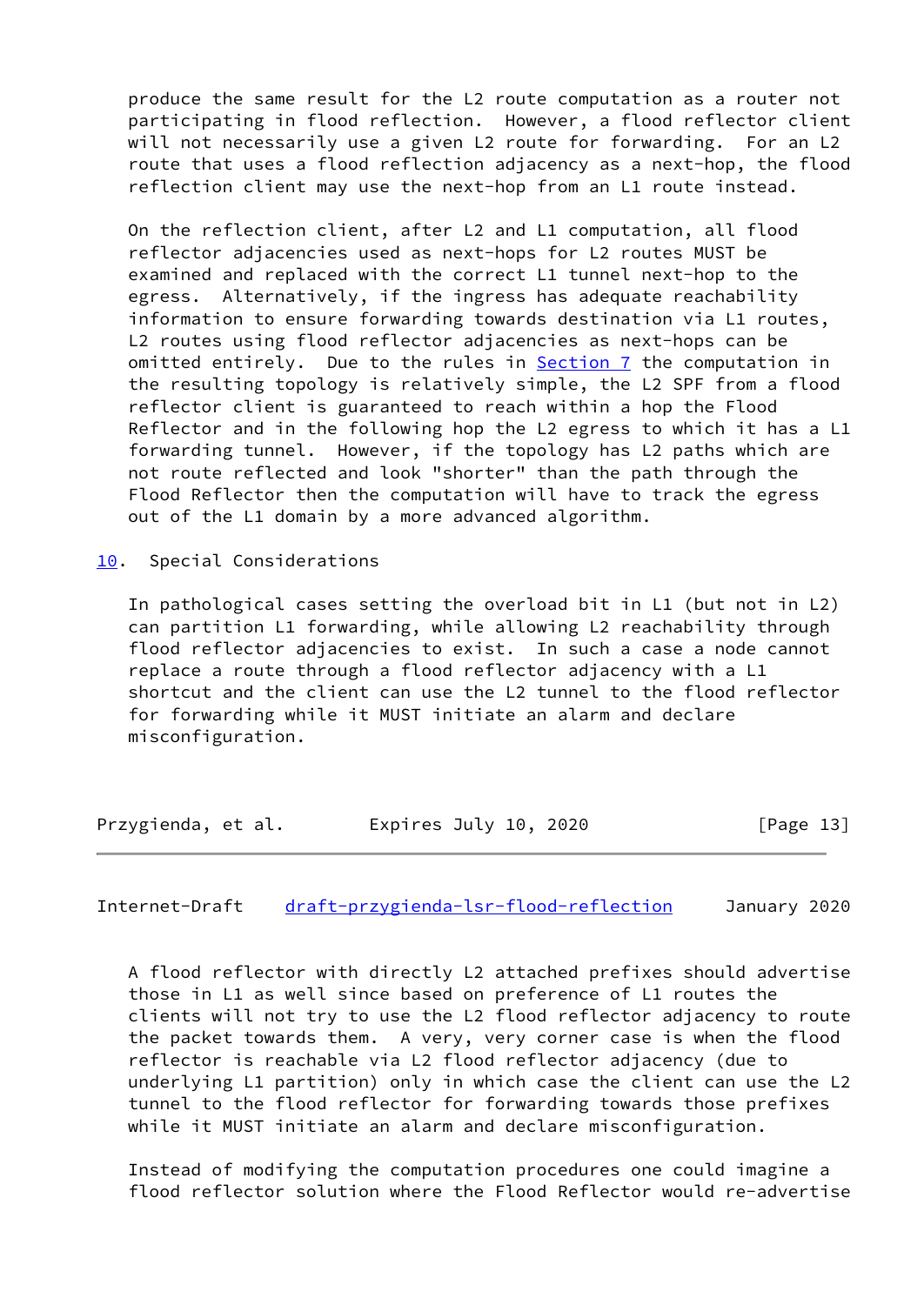produce the same result for the L2 route computation as a router not participating in flood reflection. However, a flood reflector client will not necessarily use a given L2 route for forwarding. For an L2 route that uses a flood reflection adjacency as a next-hop, the flood reflection client may use the next-hop from an L1 route instead.

 On the reflection client, after L2 and L1 computation, all flood reflector adjacencies used as next-hops for L2 routes MUST be examined and replaced with the correct L1 tunnel next-hop to the egress. Alternatively, if the ingress has adequate reachability information to ensure forwarding towards destination via L1 routes, L2 routes using flood reflector adjacencies as next-hops can be omitted entirely. Due to the rules in [Section 7](#page-12-1) the computation in the resulting topology is relatively simple, the L2 SPF from a flood reflector client is guaranteed to reach within a hop the Flood Reflector and in the following hop the L2 egress to which it has a L1 forwarding tunnel. However, if the topology has L2 paths which are not route reflected and look "shorter" than the path through the Flood Reflector then the computation will have to track the egress out of the L1 domain by a more advanced algorithm.

<span id="page-14-0"></span>[10.](#page-14-0) Special Considerations

 In pathological cases setting the overload bit in L1 (but not in L2) can partition L1 forwarding, while allowing L2 reachability through flood reflector adjacencies to exist. In such a case a node cannot replace a route through a flood reflector adjacency with a L1 shortcut and the client can use the L2 tunnel to the flood reflector for forwarding while it MUST initiate an alarm and declare misconfiguration.

| Przygienda, et al. | Expires July 10, 2020 | [Page 13] |
|--------------------|-----------------------|-----------|
|--------------------|-----------------------|-----------|

<span id="page-14-1"></span>Internet-Draft [draft-przygienda-lsr-flood-reflection](https://datatracker.ietf.org/doc/pdf/draft-przygienda-lsr-flood-reflection) January 2020

 A flood reflector with directly L2 attached prefixes should advertise those in L1 as well since based on preference of L1 routes the clients will not try to use the L2 flood reflector adjacency to route the packet towards them. A very, very corner case is when the flood reflector is reachable via L2 flood reflector adjacency (due to underlying L1 partition) only in which case the client can use the L2 tunnel to the flood reflector for forwarding towards those prefixes while it MUST initiate an alarm and declare misconfiguration.

 Instead of modifying the computation procedures one could imagine a flood reflector solution where the Flood Reflector would re-advertise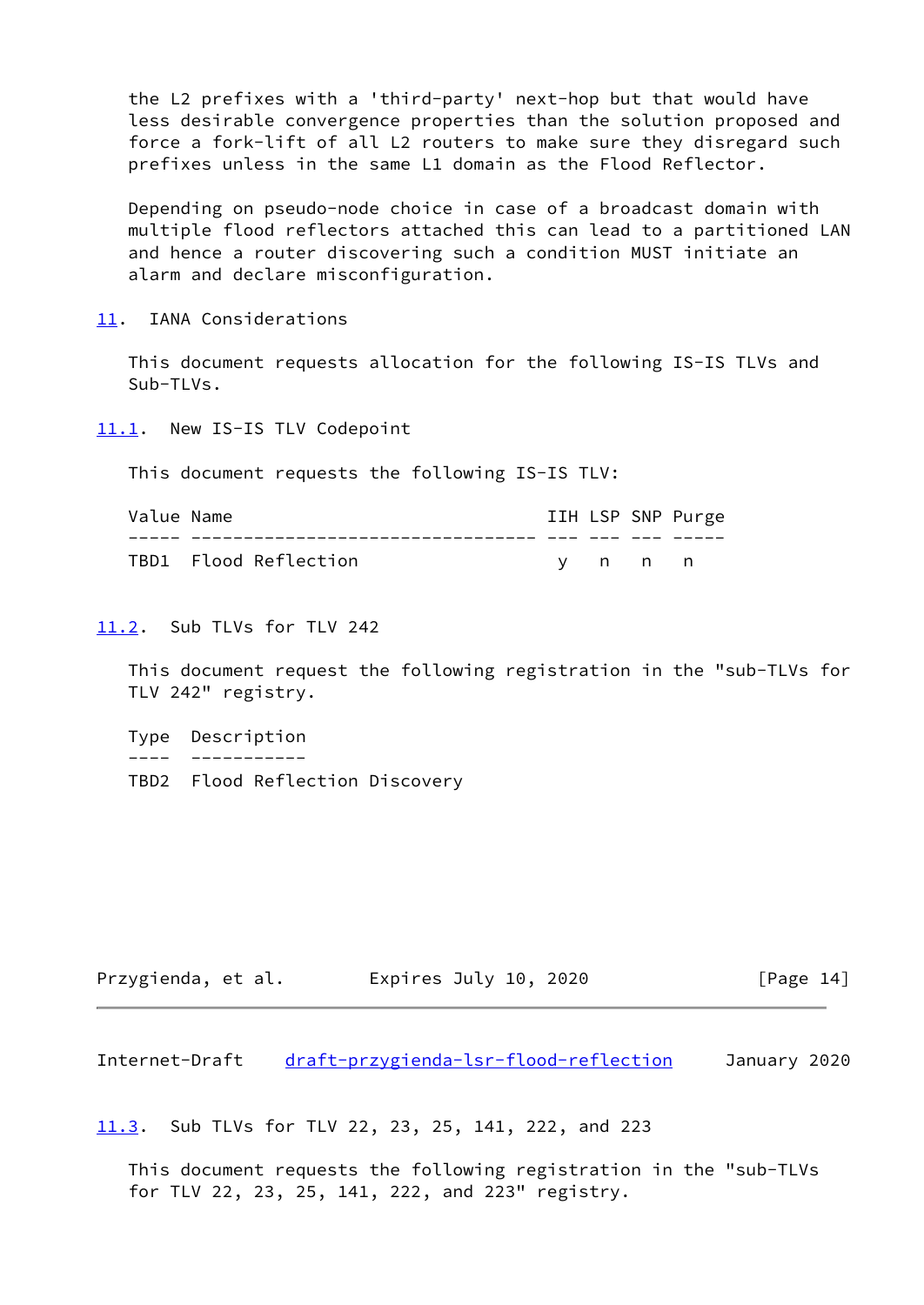the L2 prefixes with a 'third-party' next-hop but that would have less desirable convergence properties than the solution proposed and force a fork-lift of all L2 routers to make sure they disregard such prefixes unless in the same L1 domain as the Flood Reflector.

 Depending on pseudo-node choice in case of a broadcast domain with multiple flood reflectors attached this can lead to a partitioned LAN and hence a router discovering such a condition MUST initiate an alarm and declare misconfiguration.

<span id="page-15-0"></span>[11.](#page-15-0) IANA Considerations

 This document requests allocation for the following IS-IS TLVs and Sub-TLVs.

<span id="page-15-1"></span>[11.1](#page-15-1). New IS-IS TLV Codepoint

This document requests the following IS-IS TLV:

| Value Name |                       |  |         | IIH LSP SNP Purge |
|------------|-----------------------|--|---------|-------------------|
|            |                       |  |         |                   |
|            | TBD1 Flood Reflection |  | v n n n |                   |

### <span id="page-15-2"></span>[11.2](#page-15-2). Sub TLVs for TLV 242

 This document request the following registration in the "sub-TLVs for TLV 242" registry.

 Type Description ---- ----------- TBD2 Flood Reflection Discovery

| Przygienda, et al. | Expires July 10, 2020 | [Page 14] |
|--------------------|-----------------------|-----------|
|--------------------|-----------------------|-----------|

<span id="page-15-4"></span>Internet-Draft [draft-przygienda-lsr-flood-reflection](https://datatracker.ietf.org/doc/pdf/draft-przygienda-lsr-flood-reflection) January 2020

<span id="page-15-3"></span>[11.3](#page-15-3). Sub TLVs for TLV 22, 23, 25, 141, 222, and 223

 This document requests the following registration in the "sub-TLVs for TLV 22, 23, 25, 141, 222, and 223" registry.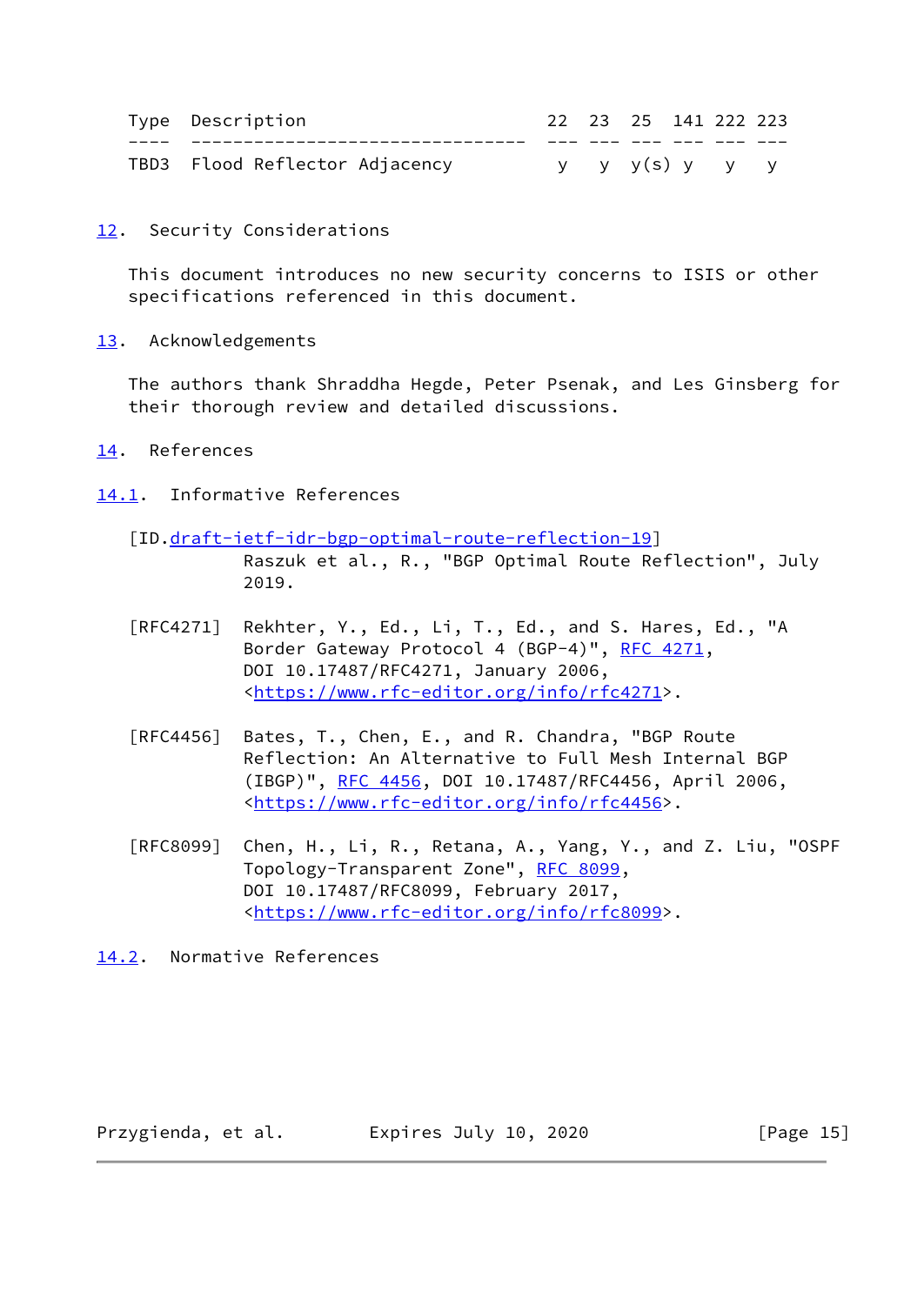| Type Description               |  | 22 23 25 141 222 223 |  |  |
|--------------------------------|--|----------------------|--|--|
|                                |  |                      |  |  |
| TBD3 Flood Reflector Adjacency |  | y y y(s) y y y       |  |  |

<span id="page-16-0"></span>[12.](#page-16-0) Security Considerations

 This document introduces no new security concerns to ISIS or other specifications referenced in this document.

<span id="page-16-1"></span>[13.](#page-16-1) Acknowledgements

 The authors thank Shraddha Hegde, Peter Psenak, and Les Ginsberg for their thorough review and detailed discussions.

## <span id="page-16-2"></span>[14.](#page-16-2) References

- <span id="page-16-3"></span>[14.1](#page-16-3). Informative References
	- [ID.[draft-ietf-idr-bgp-optimal-route-reflection-19](https://datatracker.ietf.org/doc/pdf/draft-ietf-idr-bgp-optimal-route-reflection-19)]

 Raszuk et al., R., "BGP Optimal Route Reflection", July 2019.

- [RFC4271] Rekhter, Y., Ed., Li, T., Ed., and S. Hares, Ed., "A Border Gateway Protocol 4 (BGP-4)", [RFC 4271,](https://datatracker.ietf.org/doc/pdf/rfc4271) DOI 10.17487/RFC4271, January 2006, <[https://www.rfc-editor.org/info/rfc4271>](https://www.rfc-editor.org/info/rfc4271).
- [RFC4456] Bates, T., Chen, E., and R. Chandra, "BGP Route Reflection: An Alternative to Full Mesh Internal BGP (IBGP)", [RFC 4456,](https://datatracker.ietf.org/doc/pdf/rfc4456) DOI 10.17487/RFC4456, April 2006, <[https://www.rfc-editor.org/info/rfc4456>](https://www.rfc-editor.org/info/rfc4456).
- [RFC8099] Chen, H., Li, R., Retana, A., Yang, Y., and Z. Liu, "OSPF Topology-Transparent Zone", [RFC 8099,](https://datatracker.ietf.org/doc/pdf/rfc8099) DOI 10.17487/RFC8099, February 2017, <[https://www.rfc-editor.org/info/rfc8099>](https://www.rfc-editor.org/info/rfc8099).

<span id="page-16-4"></span>[14.2](#page-16-4). Normative References

Przygienda, et al. Expires July 10, 2020 [Page 15]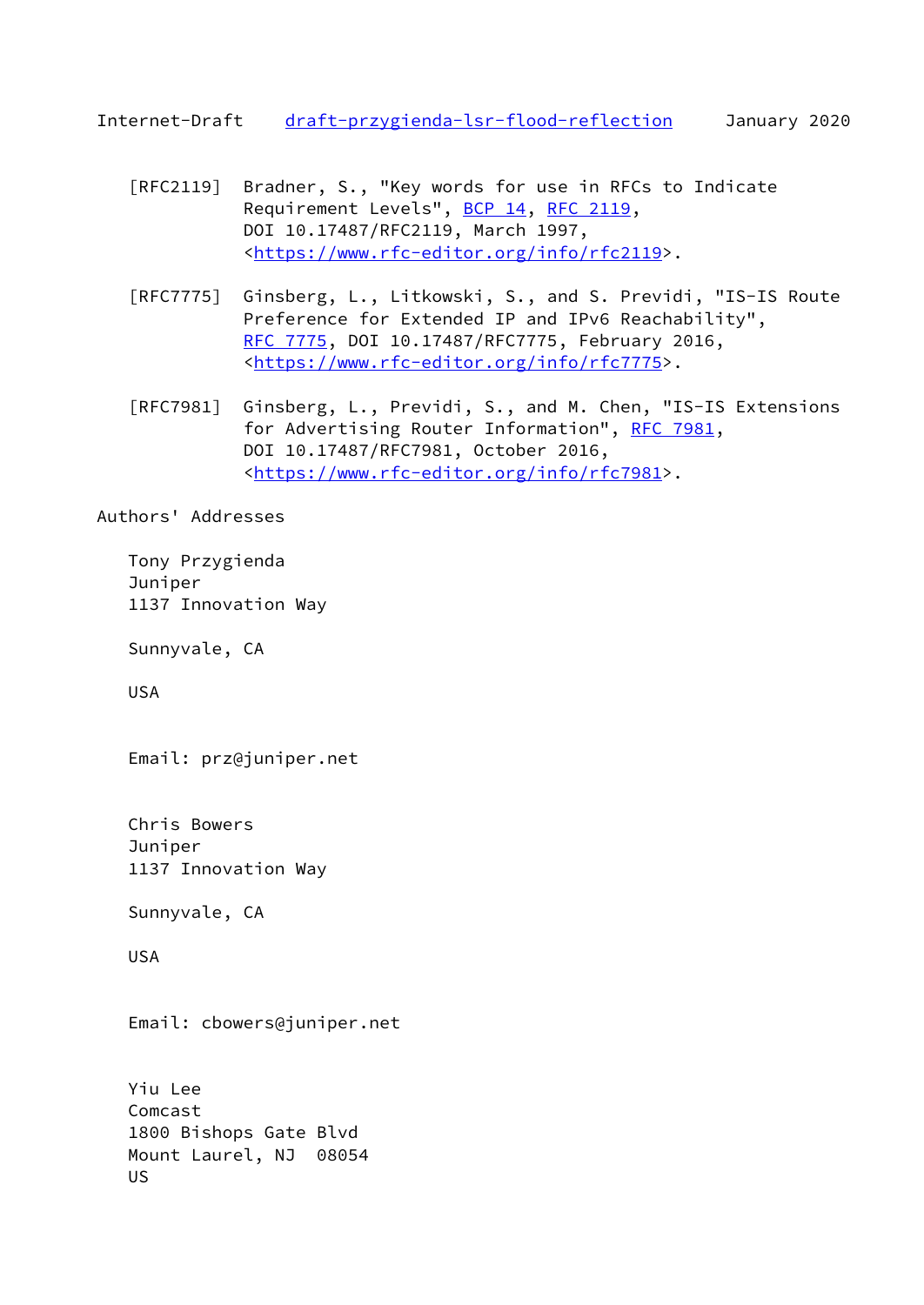<span id="page-17-0"></span>Internet-Draft [draft-przygienda-lsr-flood-reflection](https://datatracker.ietf.org/doc/pdf/draft-przygienda-lsr-flood-reflection) January 2020

- [RFC2119] Bradner, S., "Key words for use in RFCs to Indicate Requirement Levels", [BCP 14](https://datatracker.ietf.org/doc/pdf/bcp14), [RFC 2119](https://datatracker.ietf.org/doc/pdf/rfc2119), DOI 10.17487/RFC2119, March 1997, <[https://www.rfc-editor.org/info/rfc2119>](https://www.rfc-editor.org/info/rfc2119).
- [RFC7775] Ginsberg, L., Litkowski, S., and S. Previdi, "IS-IS Route Preference for Extended IP and IPv6 Reachability", [RFC 7775,](https://datatracker.ietf.org/doc/pdf/rfc7775) DOI 10.17487/RFC7775, February 2016, <[https://www.rfc-editor.org/info/rfc7775>](https://www.rfc-editor.org/info/rfc7775).
- [RFC7981] Ginsberg, L., Previdi, S., and M. Chen, "IS-IS Extensions for Advertising Router Information", [RFC 7981](https://datatracker.ietf.org/doc/pdf/rfc7981), DOI 10.17487/RFC7981, October 2016, <[https://www.rfc-editor.org/info/rfc7981>](https://www.rfc-editor.org/info/rfc7981).

Authors' Addresses

 Tony Przygienda Juniper 1137 Innovation Way

Sunnyvale, CA

USA

Email: prz@juniper.net

 Chris Bowers Juniper 1137 Innovation Way

Sunnyvale, CA

USA

Email: cbowers@juniper.net

 Yiu Lee Comcast 1800 Bishops Gate Blvd Mount Laurel, NJ 08054 US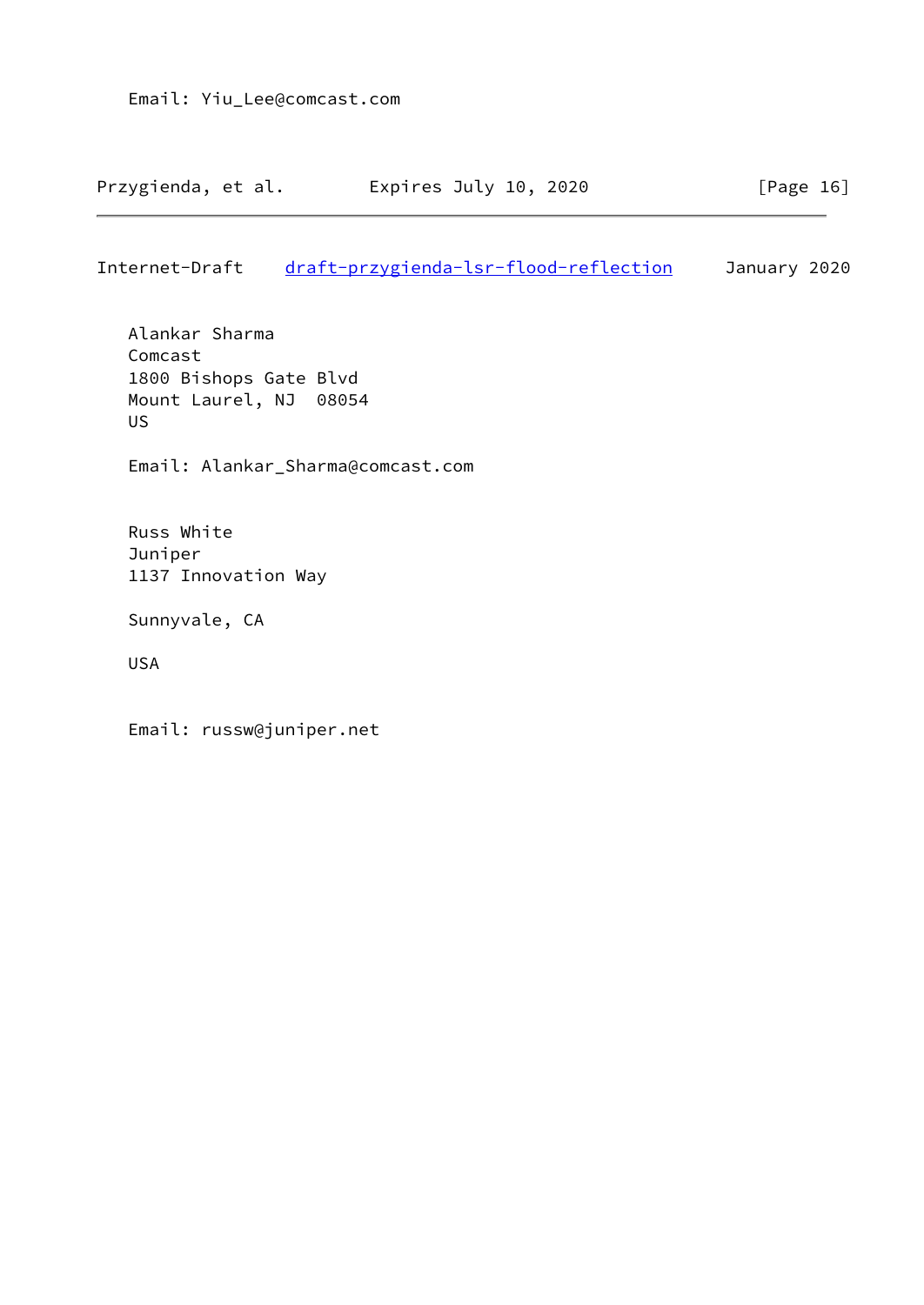Internet-Draft [draft-przygienda-lsr-flood-reflection](https://datatracker.ietf.org/doc/pdf/draft-przygienda-lsr-flood-reflection) January 2020

 Alankar Sharma Comcast 1800 Bishops Gate Blvd Mount Laurel, NJ 08054 US

Email: Alankar\_Sharma@comcast.com

 Russ White Juniper 1137 Innovation Way

Sunnyvale, CA

USA

Email: russw@juniper.net